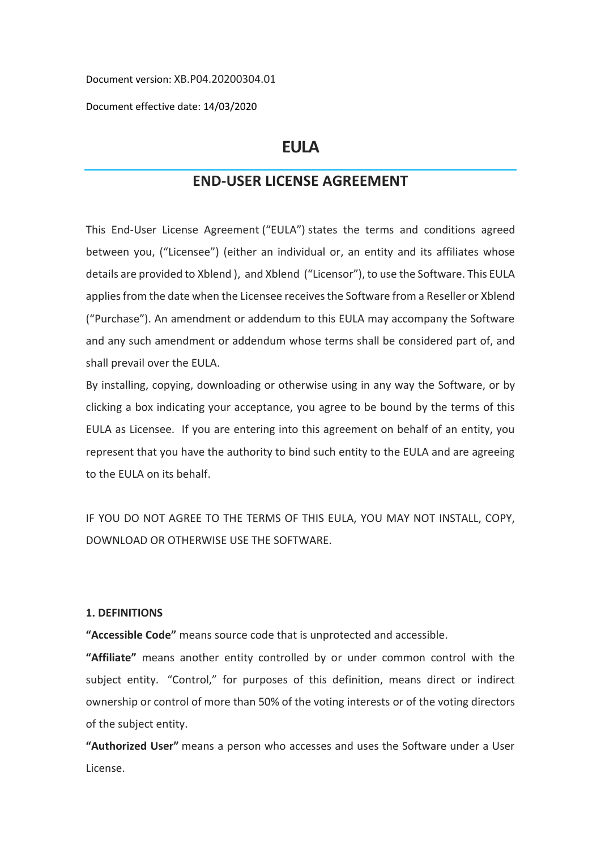Document version: XB.P04.20200304.01

Document effective date: 14/03/2020

# **EULA**

# **END-USER LICENSE AGREEMENT**

This End-User License Agreement ("EULA") states the terms and conditions agreed between you, ("Licensee") (either an individual or, an entity and its affiliates whose details are provided to Xblend ), and Xblend ("Licensor"), to use the Software. This EULA applies from the date when the Licensee receives the Software from a Reseller or Xblend ("Purchase"). An amendment or addendum to this EULA may accompany the Software and any such amendment or addendum whose terms shall be considered part of, and shall prevail over the EULA.

By installing, copying, downloading or otherwise using in any way the Software, or by clicking a box indicating your acceptance, you agree to be bound by the terms of this EULA as Licensee. If you are entering into this agreement on behalf of an entity, you represent that you have the authority to bind such entity to the EULA and are agreeing to the EULA on its behalf.

IF YOU DO NOT AGREE TO THE TERMS OF THIS EULA, YOU MAY NOT INSTALL, COPY, DOWNLOAD OR OTHERWISE USE THE SOFTWARE.

# **1. DEFINITIONS**

**"Accessible Code"** means source code that is unprotected and accessible.

**"Affiliate"** means another entity controlled by or under common control with the subject entity. "Control," for purposes of this definition, means direct or indirect ownership or control of more than 50% of the voting interests or of the voting directors of the subject entity.

**"Authorized User"** means a person who accesses and uses the Software under a User License.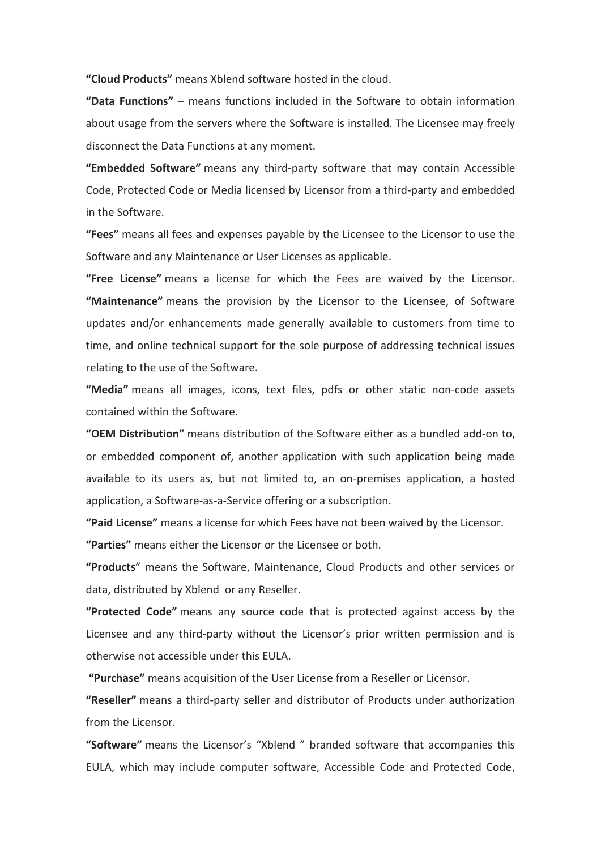**"Cloud Products"** means Xblend software hosted in the cloud.

**"Data Functions"** – means functions included in the Software to obtain information about usage from the servers where the Software is installed. The Licensee may freely disconnect the Data Functions at any moment.

**"Embedded Software"** means any third-party software that may contain Accessible Code, Protected Code or Media licensed by Licensor from a third-party and embedded in the Software.

**"Fees"** means all fees and expenses payable by the Licensee to the Licensor to use the Software and any Maintenance or User Licenses as applicable.

**"Free License"** means a license for which the Fees are waived by the Licensor. **"Maintenance"** means the provision by the Licensor to the Licensee, of Software updates and/or enhancements made generally available to customers from time to time, and online technical support for the sole purpose of addressing technical issues relating to the use of the Software.

**"Media"** means all images, icons, text files, pdfs or other static non-code assets contained within the Software.

**"OEM Distribution"** means distribution of the Software either as a bundled add-on to, or embedded component of, another application with such application being made available to its users as, but not limited to, an on-premises application, a hosted application, a Software-as-a-Service offering or a subscription.

**"Paid License"** means a license for which Fees have not been waived by the Licensor. **"Parties"** means either the Licensor or the Licensee or both.

**"Products**" means the Software, Maintenance, Cloud Products and other services or data, distributed by Xblend or any Reseller.

**"Protected Code"** means any source code that is protected against access by the Licensee and any third-party without the Licensor's prior written permission and is otherwise not accessible under this EULA.

**"Purchase"** means acquisition of the User License from a Reseller or Licensor.

**"Reseller"** means a third-party seller and distributor of Products under authorization from the Licensor.

**"Software"** means the Licensor's "Xblend " branded software that accompanies this EULA, which may include computer software, Accessible Code and Protected Code,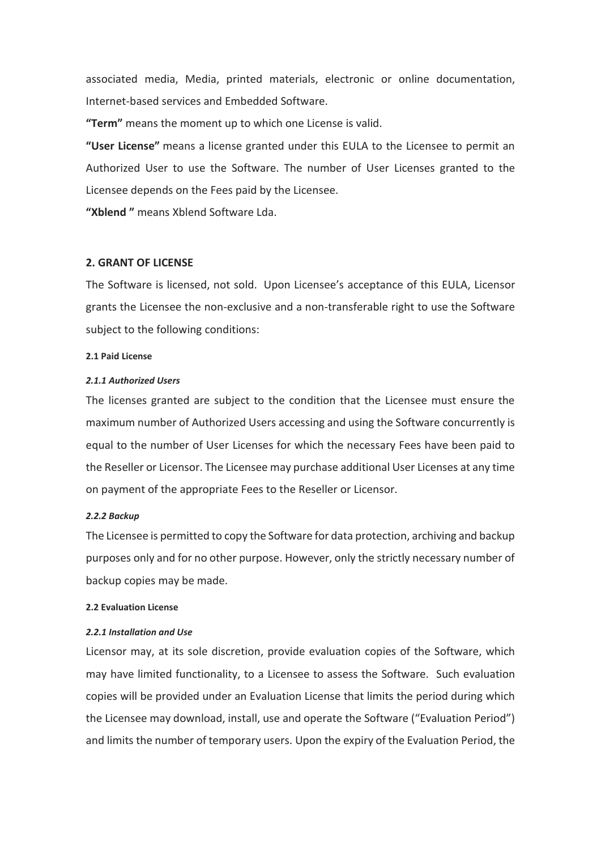associated media, Media, printed materials, electronic or online documentation, Internet-based services and Embedded Software.

**"Term"** means the moment up to which one License is valid.

**"User License"** means a license granted under this EULA to the Licensee to permit an Authorized User to use the Software. The number of User Licenses granted to the Licensee depends on the Fees paid by the Licensee.

**"Xblend "** means Xblend Software Lda.

# **2. GRANT OF LICENSE**

The Software is licensed, not sold. Upon Licensee's acceptance of this EULA, Licensor grants the Licensee the non-exclusive and a non-transferable right to use the Software subject to the following conditions:

#### **2.1 Paid License**

#### *2.1.1 Authorized Users*

The licenses granted are subject to the condition that the Licensee must ensure the maximum number of Authorized Users accessing and using the Software concurrently is equal to the number of User Licenses for which the necessary Fees have been paid to the Reseller or Licensor. The Licensee may purchase additional User Licenses at any time on payment of the appropriate Fees to the Reseller or Licensor.

#### *2.2.2 Backup*

The Licensee is permitted to copy the Software for data protection, archiving and backup purposes only and for no other purpose. However, only the strictly necessary number of backup copies may be made.

#### **2.2 Evaluation License**

#### *2.2.1 Installation and Use*

Licensor may, at its sole discretion, provide evaluation copies of the Software, which may have limited functionality, to a Licensee to assess the Software. Such evaluation copies will be provided under an Evaluation License that limits the period during which the Licensee may download, install, use and operate the Software ("Evaluation Period") and limits the number of temporary users. Upon the expiry of the Evaluation Period, the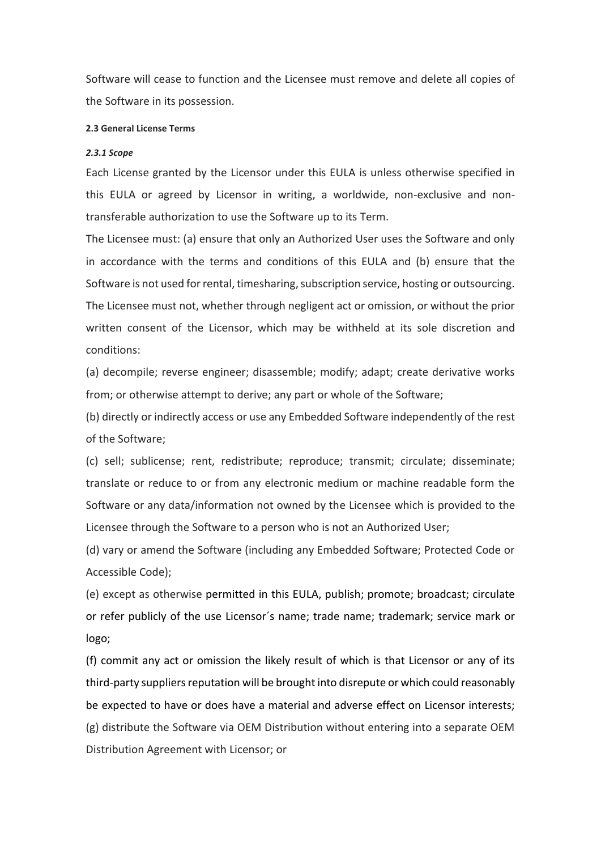Software will cease to function and the Licensee must remove and delete all copies of the Software in its possession.

#### **2.3 General License Terms**

## *2.3.1 Scope*

Each License granted by the Licensor under this EULA is unless otherwise specified in this EULA or agreed by Licensor in writing, a worldwide, non-exclusive and nontransferable authorization to use the Software up to its Term.

The Licensee must: (a) ensure that only an Authorized User uses the Software and only in accordance with the terms and conditions of this EULA and (b) ensure that the Software is not used for rental, timesharing, subscription service, hosting or outsourcing. The Licensee must not, whether through negligent act or omission, or without the prior written consent of the Licensor, which may be withheld at its sole discretion and conditions:

(a) decompile; reverse engineer; disassemble; modify; adapt; create derivative works from; or otherwise attempt to derive; any part or whole of the Software;

(b) directly or indirectly access or use any Embedded Software independently of the rest of the Software;

(c) sell; sublicense; rent, redistribute; reproduce; transmit; circulate; disseminate; translate or reduce to or from any electronic medium or machine readable form the Software or any data/information not owned by the Licensee which is provided to the Licensee through the Software to a person who is not an Authorized User;

(d) vary or amend the Software (including any Embedded Software; Protected Code or Accessible Code);

(e) except as otherwise permitted in this EULA, publish; promote; broadcast; circulate or refer publicly of the use Licensor´s name; trade name; trademark; service mark or logo;

(f) commit any act or omission the likely result of which is that Licensor or any of its third-party suppliers reputation will be brought into disrepute or which could reasonably be expected to have or does have a material and adverse effect on Licensor interests; (g) distribute the Software via OEM Distribution without entering into a separate OEM Distribution Agreement with Licensor; or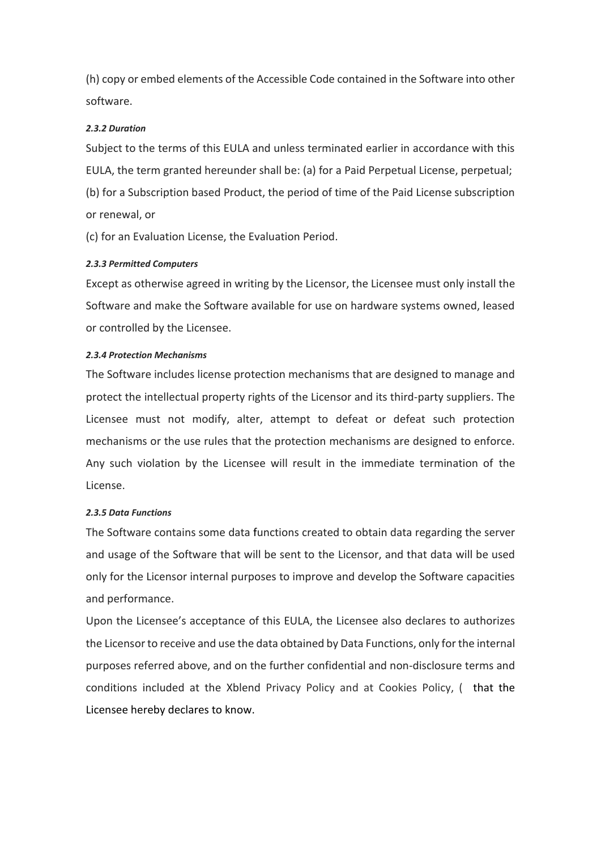(h) copy or embed elements of the Accessible Code contained in the Software into other software.

# *2.3.2 Duration*

Subject to the terms of this EULA and unless terminated earlier in accordance with this EULA, the term granted hereunder shall be: (a) for a Paid Perpetual License, perpetual; (b) for a Subscription based Product, the period of time of the Paid License subscription or renewal, or

(c) for an Evaluation License, the Evaluation Period.

# *2.3.3 Permitted Computers*

Except as otherwise agreed in writing by the Licensor, the Licensee must only install the Software and make the Software available for use on hardware systems owned, leased or controlled by the Licensee.

# *2.3.4 Protection Mechanisms*

The Software includes license protection mechanisms that are designed to manage and protect the intellectual property rights of the Licensor and its third-party suppliers. The Licensee must not modify, alter, attempt to defeat or defeat such protection mechanisms or the use rules that the protection mechanisms are designed to enforce. Any such violation by the Licensee will result in the immediate termination of the License.

## *2.3.5 Data Functions*

The Software contains some data functions created to obtain data regarding the server and usage of the Software that will be sent to the Licensor, and that data will be used only for the Licensor internal purposes to improve and develop the Software capacities and performance.

Upon the Licensee's acceptance of this EULA, the Licensee also declares to authorizes the Licensor to receive and use the data obtained by Data Functions, only for the internal purposes referred above, and on the further confidential and non-disclosure terms and conditions included at the Xblend Privacy Policy and at Cookies Policy, ( that the Licensee hereby declares to know.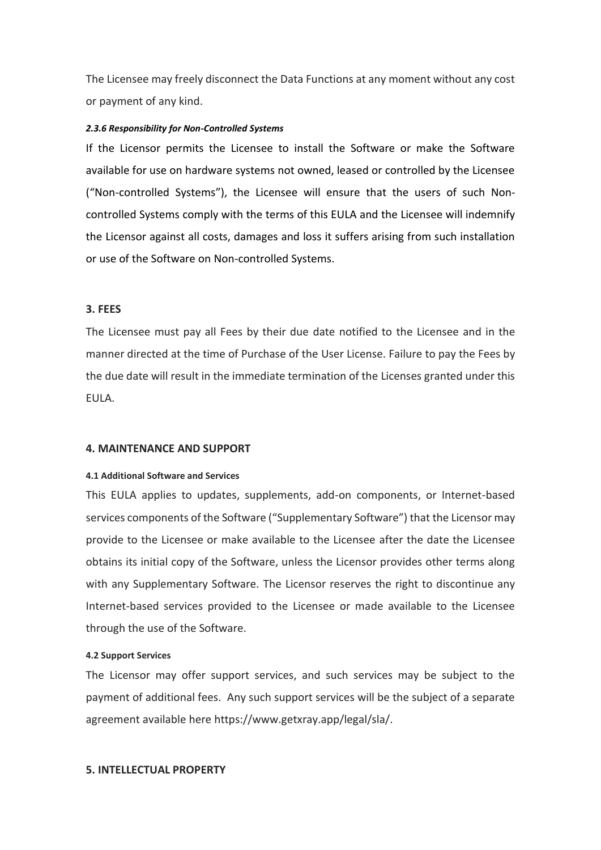The Licensee may freely disconnect the Data Functions at any moment without any cost or payment of any kind.

#### *2.3.6 Responsibility for Non-Controlled Systems*

If the Licensor permits the Licensee to install the Software or make the Software available for use on hardware systems not owned, leased or controlled by the Licensee ("Non-controlled Systems"), the Licensee will ensure that the users of such Noncontrolled Systems comply with the terms of this EULA and the Licensee will indemnify the Licensor against all costs, damages and loss it suffers arising from such installation or use of the Software on Non-controlled Systems.

## **3. FEES**

The Licensee must pay all Fees by their due date notified to the Licensee and in the manner directed at the time of Purchase of the User License. Failure to pay the Fees by the due date will result in the immediate termination of the Licenses granted under this EULA.

## **4. MAINTENANCE AND SUPPORT**

#### **4.1 Additional Software and Services**

This EULA applies to updates, supplements, add-on components, or Internet-based services components of the Software ("Supplementary Software") that the Licensor may provide to the Licensee or make available to the Licensee after the date the Licensee obtains its initial copy of the Software, unless the Licensor provides other terms along with any Supplementary Software. The Licensor reserves the right to discontinue any Internet-based services provided to the Licensee or made available to the Licensee through the use of the Software.

#### **4.2 Support Services**

The Licensor may offer support services, and such services may be subject to the payment of additional fees. Any such support services will be the subject of a separate agreement available here https://www.getxray.app/legal/sla/.

# **5. INTELLECTUAL PROPERTY**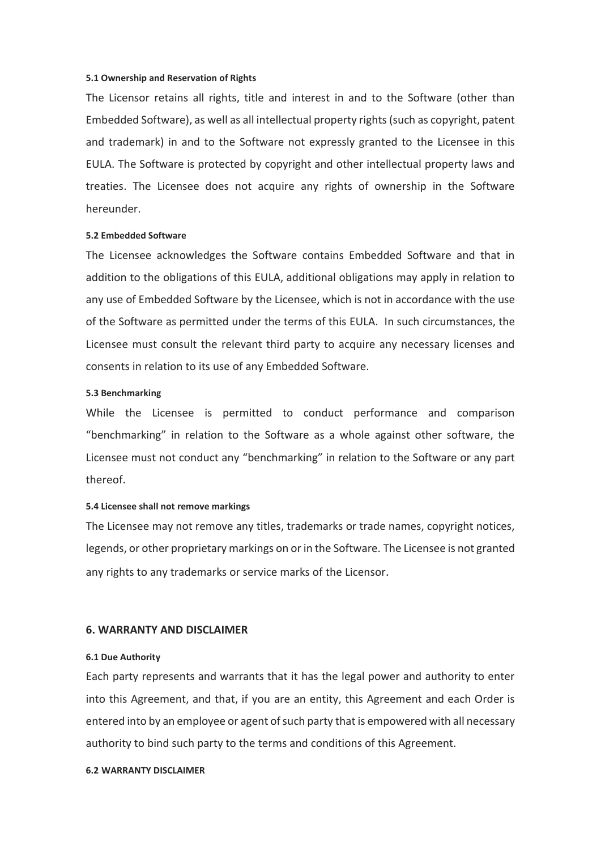#### **5.1 Ownership and Reservation of Rights**

The Licensor retains all rights, title and interest in and to the Software (other than Embedded Software), as well as all intellectual property rights (such as copyright, patent and trademark) in and to the Software not expressly granted to the Licensee in this EULA. The Software is protected by copyright and other intellectual property laws and treaties. The Licensee does not acquire any rights of ownership in the Software hereunder.

#### **5.2 Embedded Software**

The Licensee acknowledges the Software contains Embedded Software and that in addition to the obligations of this EULA, additional obligations may apply in relation to any use of Embedded Software by the Licensee, which is not in accordance with the use of the Software as permitted under the terms of this EULA. In such circumstances, the Licensee must consult the relevant third party to acquire any necessary licenses and consents in relation to its use of any Embedded Software.

#### **5.3 Benchmarking**

While the Licensee is permitted to conduct performance and comparison "benchmarking" in relation to the Software as a whole against other software, the Licensee must not conduct any "benchmarking" in relation to the Software or any part thereof.

#### **5.4 Licensee shall not remove markings**

The Licensee may not remove any titles, trademarks or trade names, copyright notices, legends, or other proprietary markings on or in the Software. The Licensee is not granted any rights to any trademarks or service marks of the Licensor.

### **6. WARRANTY AND DISCLAIMER**

#### **6.1 Due Authority**

Each party represents and warrants that it has the legal power and authority to enter into this Agreement, and that, if you are an entity, this Agreement and each Order is entered into by an employee or agent of such party that is empowered with all necessary authority to bind such party to the terms and conditions of this Agreement.

#### **6.2 WARRANTY DISCLAIMER**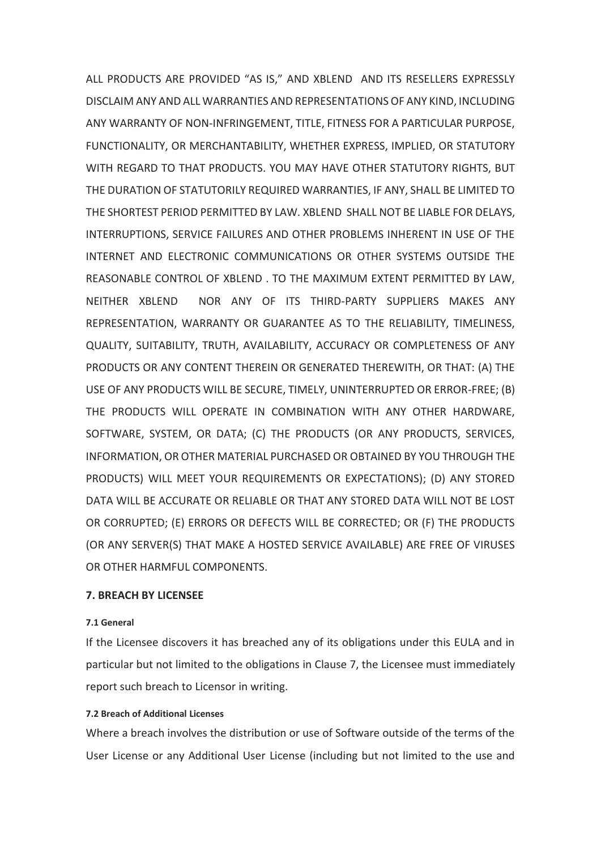ALL PRODUCTS ARE PROVIDED "AS IS," AND XBLEND AND ITS RESELLERS EXPRESSLY DISCLAIM ANY AND ALL WARRANTIES AND REPRESENTATIONS OF ANY KIND, INCLUDING ANY WARRANTY OF NON-INFRINGEMENT, TITLE, FITNESS FOR A PARTICULAR PURPOSE, FUNCTIONALITY, OR MERCHANTABILITY, WHETHER EXPRESS, IMPLIED, OR STATUTORY WITH REGARD TO THAT PRODUCTS. YOU MAY HAVE OTHER STATUTORY RIGHTS, BUT THE DURATION OF STATUTORILY REQUIRED WARRANTIES, IF ANY, SHALL BE LIMITED TO THE SHORTEST PERIOD PERMITTED BY LAW. XBLEND SHALL NOT BE LIABLE FOR DELAYS, INTERRUPTIONS, SERVICE FAILURES AND OTHER PROBLEMS INHERENT IN USE OF THE INTERNET AND ELECTRONIC COMMUNICATIONS OR OTHER SYSTEMS OUTSIDE THE REASONABLE CONTROL OF XBLEND . TO THE MAXIMUM EXTENT PERMITTED BY LAW, NEITHER XBLEND NOR ANY OF ITS THIRD-PARTY SUPPLIERS MAKES ANY REPRESENTATION, WARRANTY OR GUARANTEE AS TO THE RELIABILITY, TIMELINESS, QUALITY, SUITABILITY, TRUTH, AVAILABILITY, ACCURACY OR COMPLETENESS OF ANY PRODUCTS OR ANY CONTENT THEREIN OR GENERATED THEREWITH, OR THAT: (A) THE USE OF ANY PRODUCTS WILL BE SECURE, TIMELY, UNINTERRUPTED OR ERROR-FREE; (B) THE PRODUCTS WILL OPERATE IN COMBINATION WITH ANY OTHER HARDWARE, SOFTWARE, SYSTEM, OR DATA; (C) THE PRODUCTS (OR ANY PRODUCTS, SERVICES, INFORMATION, OR OTHER MATERIAL PURCHASED OR OBTAINED BY YOU THROUGH THE PRODUCTS) WILL MEET YOUR REQUIREMENTS OR EXPECTATIONS); (D) ANY STORED DATA WILL BE ACCURATE OR RELIABLE OR THAT ANY STORED DATA WILL NOT BE LOST OR CORRUPTED; (E) ERRORS OR DEFECTS WILL BE CORRECTED; OR (F) THE PRODUCTS (OR ANY SERVER(S) THAT MAKE A HOSTED SERVICE AVAILABLE) ARE FREE OF VIRUSES OR OTHER HARMFUL COMPONENTS.

## **7. BREACH BY LICENSEE**

#### **7.1 General**

If the Licensee discovers it has breached any of its obligations under this EULA and in particular but not limited to the obligations in Clause 7, the Licensee must immediately report such breach to Licensor in writing.

# **7.2 Breach of Additional Licenses**

Where a breach involves the distribution or use of Software outside of the terms of the User License or any Additional User License (including but not limited to the use and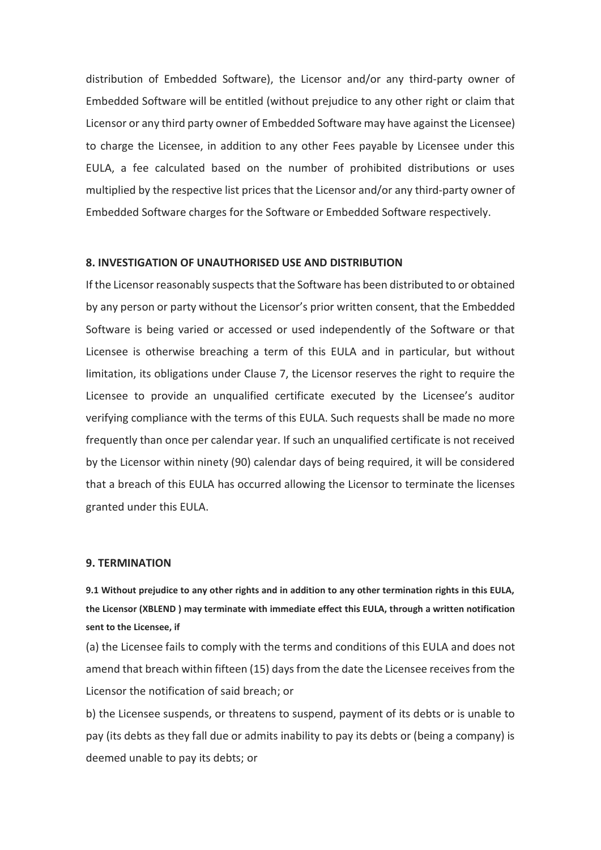distribution of Embedded Software), the Licensor and/or any third-party owner of Embedded Software will be entitled (without prejudice to any other right or claim that Licensor or any third party owner of Embedded Software may have against the Licensee) to charge the Licensee, in addition to any other Fees payable by Licensee under this EULA, a fee calculated based on the number of prohibited distributions or uses multiplied by the respective list prices that the Licensor and/or any third-party owner of Embedded Software charges for the Software or Embedded Software respectively.

## **8. INVESTIGATION OF UNAUTHORISED USE AND DISTRIBUTION**

If the Licensorreasonably suspects that the Software has been distributed to or obtained by any person or party without the Licensor's prior written consent, that the Embedded Software is being varied or accessed or used independently of the Software or that Licensee is otherwise breaching a term of this EULA and in particular, but without limitation, its obligations under Clause 7, the Licensor reserves the right to require the Licensee to provide an unqualified certificate executed by the Licensee's auditor verifying compliance with the terms of this EULA. Such requests shall be made no more frequently than once per calendar year. If such an unqualified certificate is not received by the Licensor within ninety (90) calendar days of being required, it will be considered that a breach of this EULA has occurred allowing the Licensor to terminate the licenses granted under this EULA.

#### **9. TERMINATION**

**9.1 Without prejudice to any other rights and in addition to any other termination rights in this EULA, the Licensor (XBLEND ) may terminate with immediate effect this EULA, through a written notification sent to the Licensee, if**

(a) the Licensee fails to comply with the terms and conditions of this EULA and does not amend that breach within fifteen (15) days from the date the Licensee receives from the Licensor the notification of said breach; or

b) the Licensee suspends, or threatens to suspend, payment of its debts or is unable to pay (its debts as they fall due or admits inability to pay its debts or (being a company) is deemed unable to pay its debts; or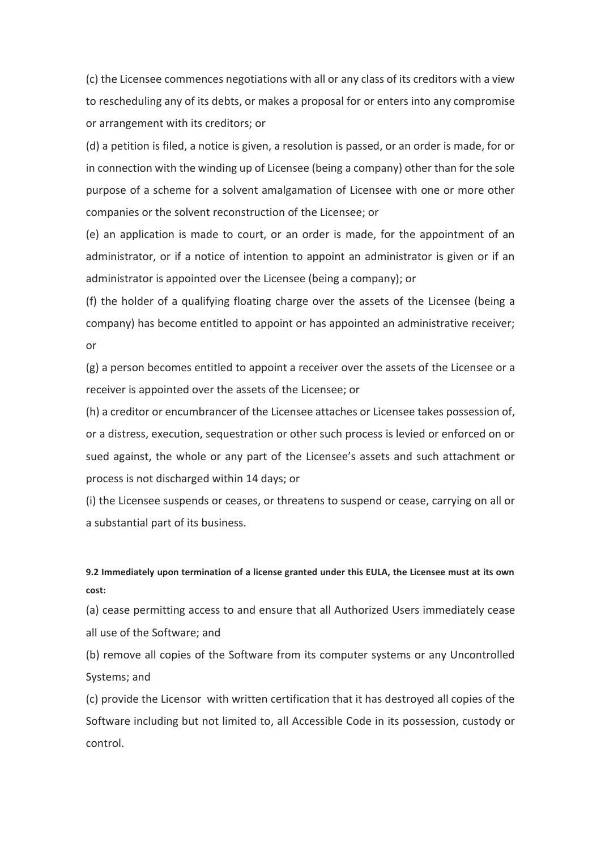(c) the Licensee commences negotiations with all or any class of its creditors with a view to rescheduling any of its debts, or makes a proposal for or enters into any compromise or arrangement with its creditors; or

(d) a petition is filed, a notice is given, a resolution is passed, or an order is made, for or in connection with the winding up of Licensee (being a company) other than for the sole purpose of a scheme for a solvent amalgamation of Licensee with one or more other companies or the solvent reconstruction of the Licensee; or

(e) an application is made to court, or an order is made, for the appointment of an administrator, or if a notice of intention to appoint an administrator is given or if an administrator is appointed over the Licensee (being a company); or

(f) the holder of a qualifying floating charge over the assets of the Licensee (being a company) has become entitled to appoint or has appointed an administrative receiver; or

(g) a person becomes entitled to appoint a receiver over the assets of the Licensee or a receiver is appointed over the assets of the Licensee; or

(h) a creditor or encumbrancer of the Licensee attaches or Licensee takes possession of, or a distress, execution, sequestration or other such process is levied or enforced on or sued against, the whole or any part of the Licensee's assets and such attachment or process is not discharged within 14 days; or

(i) the Licensee suspends or ceases, or threatens to suspend or cease, carrying on all or a substantial part of its business.

# **9.2 Immediately upon termination of a license granted under this EULA, the Licensee must at its own cost:**

(a) cease permitting access to and ensure that all Authorized Users immediately cease all use of the Software; and

(b) remove all copies of the Software from its computer systems or any Uncontrolled Systems; and

(c) provide the Licensor with written certification that it has destroyed all copies of the Software including but not limited to, all Accessible Code in its possession, custody or control.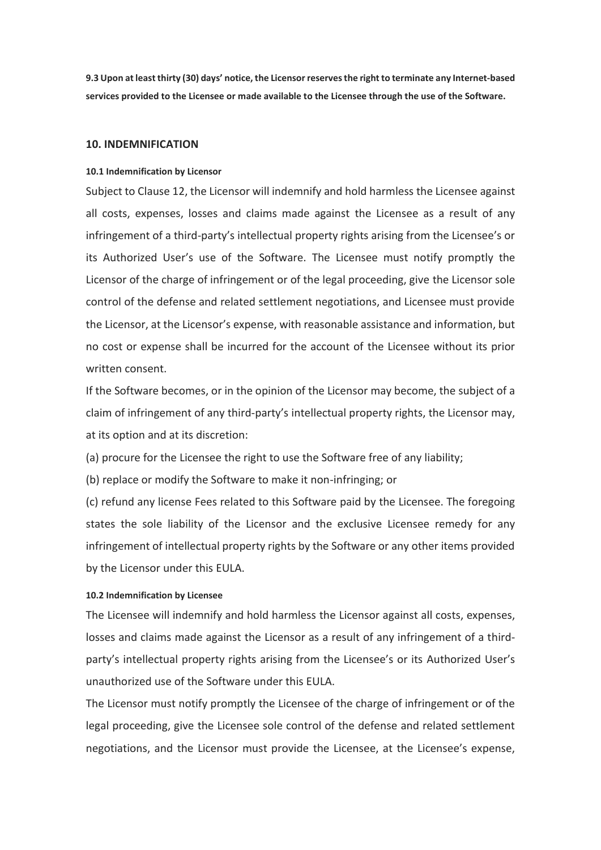**9.3 Upon at least thirty (30) days' notice, the Licensor reserves the right to terminate any Internet-based services provided to the Licensee or made available to the Licensee through the use of the Software.**

## **10. INDEMNIFICATION**

## **10.1 Indemnification by Licensor**

Subject to Clause 12, the Licensor will indemnify and hold harmless the Licensee against all costs, expenses, losses and claims made against the Licensee as a result of any infringement of a third-party's intellectual property rights arising from the Licensee's or its Authorized User's use of the Software. The Licensee must notify promptly the Licensor of the charge of infringement or of the legal proceeding, give the Licensor sole control of the defense and related settlement negotiations, and Licensee must provide the Licensor, at the Licensor's expense, with reasonable assistance and information, but no cost or expense shall be incurred for the account of the Licensee without its prior written consent.

If the Software becomes, or in the opinion of the Licensor may become, the subject of a claim of infringement of any third-party's intellectual property rights, the Licensor may, at its option and at its discretion:

(a) procure for the Licensee the right to use the Software free of any liability;

(b) replace or modify the Software to make it non-infringing; or

(c) refund any license Fees related to this Software paid by the Licensee. The foregoing states the sole liability of the Licensor and the exclusive Licensee remedy for any infringement of intellectual property rights by the Software or any other items provided by the Licensor under this EULA.

### **10.2 Indemnification by Licensee**

The Licensee will indemnify and hold harmless the Licensor against all costs, expenses, losses and claims made against the Licensor as a result of any infringement of a thirdparty's intellectual property rights arising from the Licensee's or its Authorized User's unauthorized use of the Software under this EULA.

The Licensor must notify promptly the Licensee of the charge of infringement or of the legal proceeding, give the Licensee sole control of the defense and related settlement negotiations, and the Licensor must provide the Licensee, at the Licensee's expense,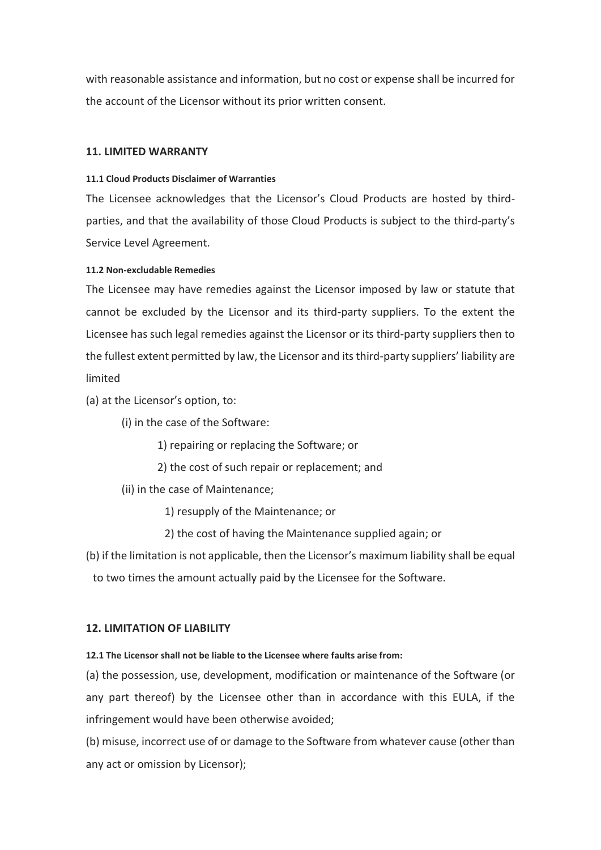with reasonable assistance and information, but no cost or expense shall be incurred for the account of the Licensor without its prior written consent.

# **11. LIMITED WARRANTY**

## **11.1 Cloud Products Disclaimer of Warranties**

The Licensee acknowledges that the Licensor's Cloud Products are hosted by thirdparties, and that the availability of those Cloud Products is subject to the third-party's Service Level Agreement.

## **11.2 Non-excludable Remedies**

The Licensee may have remedies against the Licensor imposed by law or statute that cannot be excluded by the Licensor and its third-party suppliers. To the extent the Licensee has such legal remedies against the Licensor or its third-party suppliers then to the fullest extent permitted by law, the Licensor and its third-party suppliers' liability are limited

(a) at the Licensor's option, to:

(i) in the case of the Software:

1) repairing or replacing the Software; or

2) the cost of such repair or replacement; and

(ii) in the case of Maintenance;

1) resupply of the Maintenance; or

2) the cost of having the Maintenance supplied again; or

(b) if the limitation is not applicable, then the Licensor's maximum liability shall be equal to two times the amount actually paid by the Licensee for the Software.

## **12. LIMITATION OF LIABILITY**

## **12.1 The Licensor shall not be liable to the Licensee where faults arise from:**

(a) the possession, use, development, modification or maintenance of the Software (or any part thereof) by the Licensee other than in accordance with this EULA, if the infringement would have been otherwise avoided;

(b) misuse, incorrect use of or damage to the Software from whatever cause (other than any act or omission by Licensor);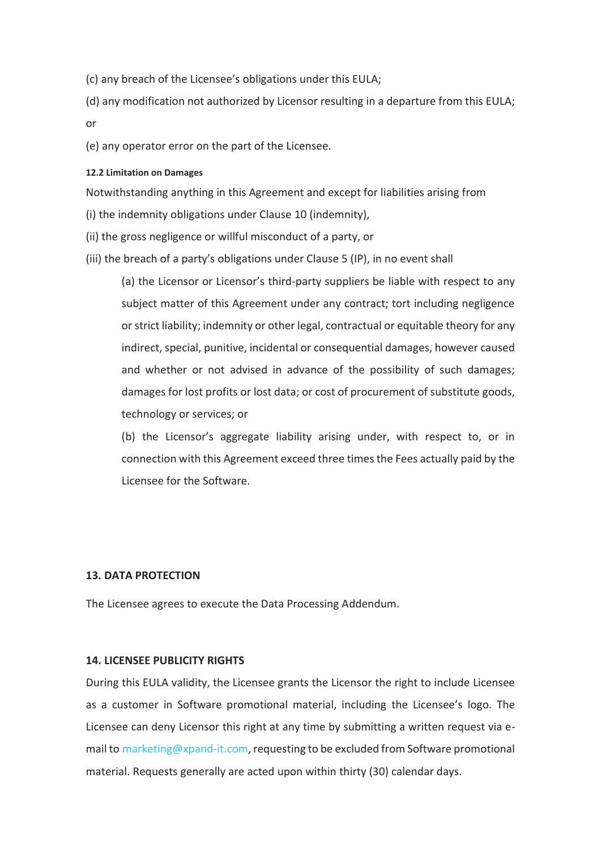(c) any breach of the Licensee's obligations under this EULA;

(d) any modification not authorized by Licensor resulting in a departure from this EULA; or

(e) any operator error on the part of the Licensee.

## **12.2 Limitation on Damages**

Notwithstanding anything in this Agreement and except for liabilities arising from

(i) the indemnity obligations under Clause 10 (indemnity),

(ii) the gross negligence or willful misconduct of a party, or

(iii) the breach of a party's obligations under Clause 5 (IP), in no event shall

(a) the Licensor or Licensor's third-party suppliers be liable with respect to any subject matter of this Agreement under any contract; tort including negligence or strict liability; indemnity or other legal, contractual or equitable theory for any indirect, special, punitive, incidental or consequential damages, however caused and whether or not advised in advance of the possibility of such damages; damages for lost profits or lost data; or cost of procurement of substitute goods, technology or services; or

(b) the Licensor's aggregate liability arising under, with respect to, or in connection with this Agreement exceed three times the Fees actually paid by the Licensee for the Software.

#### **13. DATA PROTECTION**

The Licensee agrees to execute the Data Processing Addendum.

## **14. LICENSEE PUBLICITY RIGHTS**

During this EULA validity, the Licensee grants the Licensor the right to include Licensee as a customer in Software promotional material, including the Licensee's logo. The Licensee can deny Licensor this right at any time by submitting a written request via email to [marketing@xpand-it.com,](about:blank) requesting to be excluded from Software promotional material. Requests generally are acted upon within thirty (30) calendar days.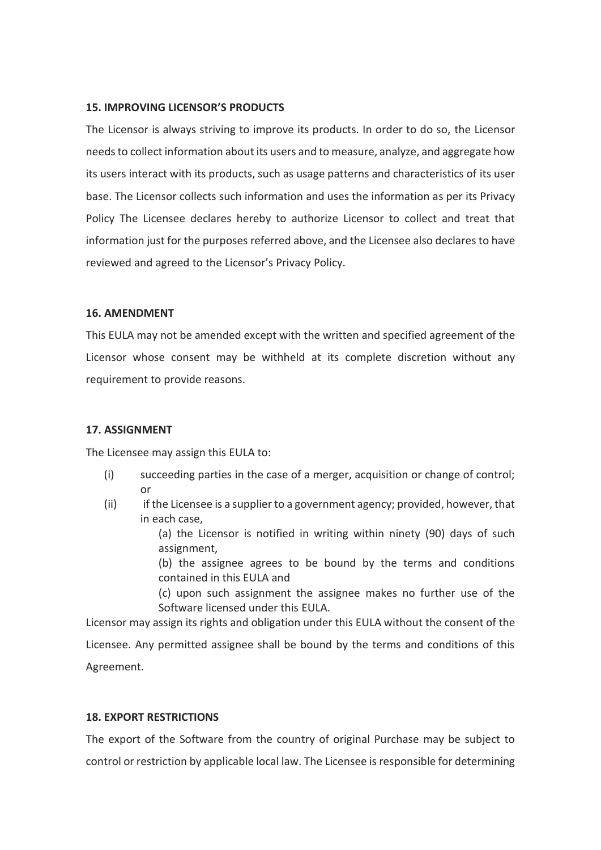# **15. IMPROVING LICENSOR'S PRODUCTS**

The Licensor is always striving to improve its products. In order to do so, the Licensor needs to collect information about its users and to measure, analyze, and aggregate how its users interact with its products, such as usage patterns and characteristics of its user base. The Licensor collects such information and uses the information as per its Privacy Policy The Licensee declares hereby to authorize Licensor to collect and treat that information just for the purposes referred above, and the Licensee also declares to have reviewed and agreed to the Licensor's [Privacy Policy.](about:blank)

# **16. AMENDMENT**

This EULA may not be amended except with the written and specified agreement of the Licensor whose consent may be withheld at its complete discretion without any requirement to provide reasons.

# **17. ASSIGNMENT**

The Licensee may assign this EULA to:

- (i) succeeding parties in the case of a merger, acquisition or change of control; or
- (ii) if the Licensee is a supplier to a government agency; provided, however, that in each case,

(a) the Licensor is notified in writing within ninety (90) days of such assignment,

(b) the assignee agrees to be bound by the terms and conditions contained in this EULA and

(c) upon such assignment the assignee makes no further use of the Software licensed under this EULA.

Licensor may assign its rights and obligation under this EULA without the consent of the Licensee. Any permitted assignee shall be bound by the terms and conditions of this Agreement.

# **18. EXPORT RESTRICTIONS**

The export of the Software from the country of original Purchase may be subject to control or restriction by applicable local law. The Licensee is responsible for determining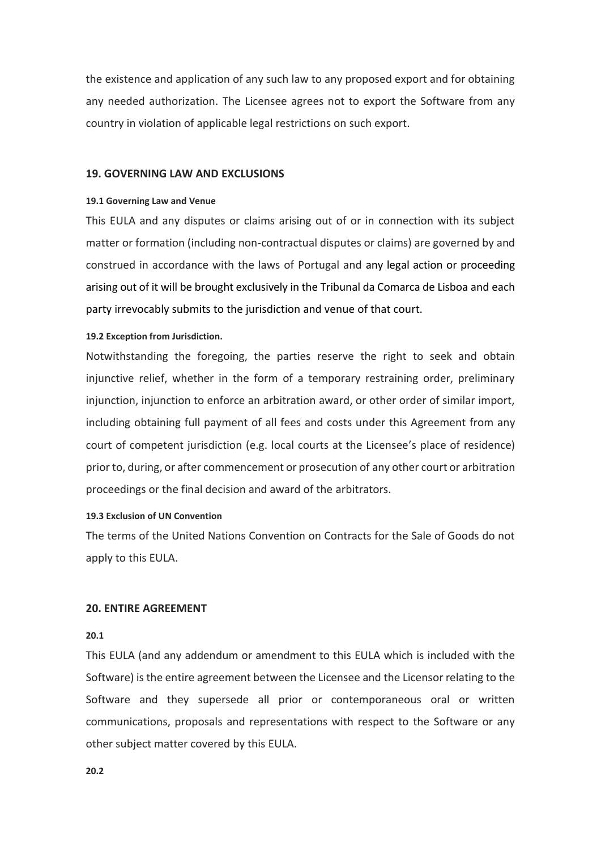the existence and application of any such law to any proposed export and for obtaining any needed authorization. The Licensee agrees not to export the Software from any country in violation of applicable legal restrictions on such export.

# **19. GOVERNING LAW AND EXCLUSIONS**

#### **19.1 Governing Law and Venue**

This EULA and any disputes or claims arising out of or in connection with its subject matter or formation (including non-contractual disputes or claims) are governed by and construed in accordance with the laws of Portugal and any legal action or proceeding arising out of it will be brought exclusively in the Tribunal da Comarca de Lisboa and each party irrevocably submits to the jurisdiction and venue of that court.

#### **19.2 Exception from Jurisdiction.**

Notwithstanding the foregoing, the parties reserve the right to seek and obtain injunctive relief, whether in the form of a temporary restraining order, preliminary injunction, injunction to enforce an arbitration award, or other order of similar import, including obtaining full payment of all fees and costs under this Agreement from any court of competent jurisdiction (e.g. local courts at the Licensee's place of residence) prior to, during, or after commencement or prosecution of any other court or arbitration proceedings or the final decision and award of the arbitrators.

#### **19.3 Exclusion of UN Convention**

The terms of the United Nations Convention on Contracts for the Sale of Goods do not apply to this EULA.

#### **20. ENTIRE AGREEMENT**

#### **20.1**

This EULA (and any addendum or amendment to this EULA which is included with the Software) is the entire agreement between the Licensee and the Licensor relating to the Software and they supersede all prior or contemporaneous oral or written communications, proposals and representations with respect to the Software or any other subject matter covered by this EULA.

**20.2**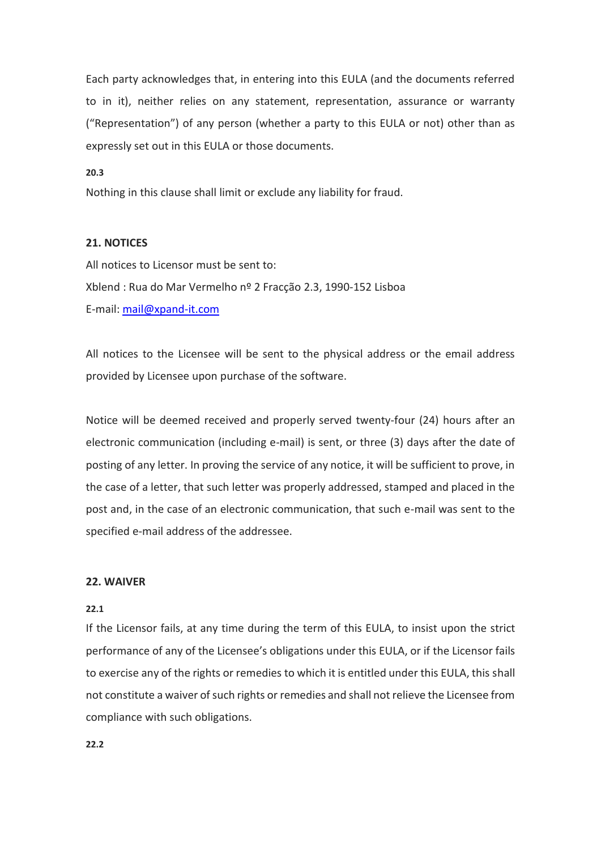Each party acknowledges that, in entering into this EULA (and the documents referred to in it), neither relies on any statement, representation, assurance or warranty ("Representation") of any person (whether a party to this EULA or not) other than as expressly set out in this EULA or those documents.

## **20.3**

Nothing in this clause shall limit or exclude any liability for fraud.

## **21. NOTICES**

All notices to Licensor must be sent to: Xblend : Rua do Mar Vermelho nº 2 Fracção 2.3, 1990-152 Lisboa E-mail: [mail@xpand-it.com](about:blank)

All notices to the Licensee will be sent to the physical address or the email address provided by Licensee upon purchase of the software.

Notice will be deemed received and properly served twenty-four (24) hours after an electronic communication (including e-mail) is sent, or three (3) days after the date of posting of any letter. In proving the service of any notice, it will be sufficient to prove, in the case of a letter, that such letter was properly addressed, stamped and placed in the post and, in the case of an electronic communication, that such e-mail was sent to the specified e-mail address of the addressee.

## **22. WAIVER**

#### **22.1**

If the Licensor fails, at any time during the term of this EULA, to insist upon the strict performance of any of the Licensee's obligations under this EULA, or if the Licensor fails to exercise any of the rights or remedies to which it is entitled under this EULA, this shall not constitute a waiver of such rights or remedies and shall not relieve the Licensee from compliance with such obligations.

**22.2**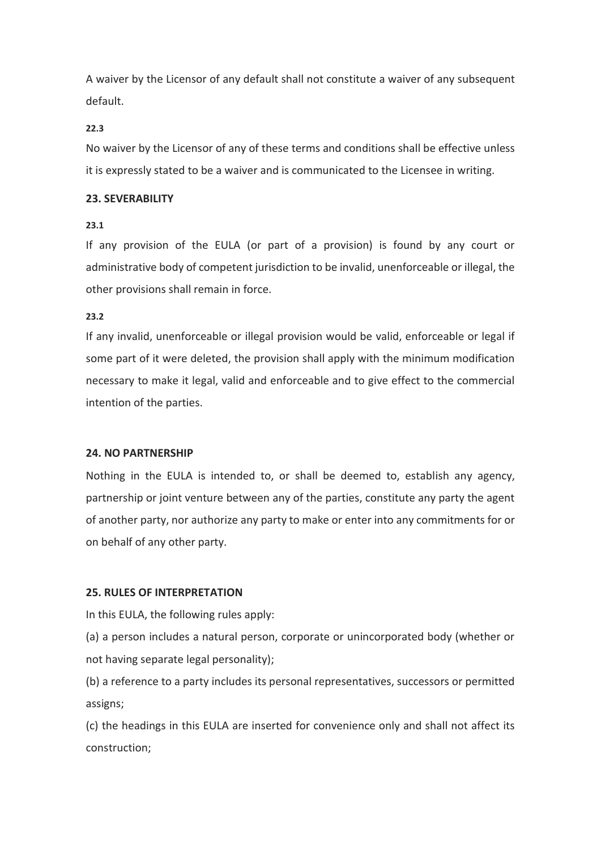A waiver by the Licensor of any default shall not constitute a waiver of any subsequent default.

# **22.3**

No waiver by the Licensor of any of these terms and conditions shall be effective unless it is expressly stated to be a waiver and is communicated to the Licensee in writing.

# **23. SEVERABILITY**

# **23.1**

If any provision of the EULA (or part of a provision) is found by any court or administrative body of competent jurisdiction to be invalid, unenforceable or illegal, the other provisions shall remain in force.

# **23.2**

If any invalid, unenforceable or illegal provision would be valid, enforceable or legal if some part of it were deleted, the provision shall apply with the minimum modification necessary to make it legal, valid and enforceable and to give effect to the commercial intention of the parties.

## **24. NO PARTNERSHIP**

Nothing in the EULA is intended to, or shall be deemed to, establish any agency, partnership or joint venture between any of the parties, constitute any party the agent of another party, nor authorize any party to make or enter into any commitments for or on behalf of any other party.

# **25. RULES OF INTERPRETATION**

In this EULA, the following rules apply:

(a) a person includes a natural person, corporate or unincorporated body (whether or not having separate legal personality);

(b) a reference to a party includes its personal representatives, successors or permitted assigns;

(c) the headings in this EULA are inserted for convenience only and shall not affect its construction;